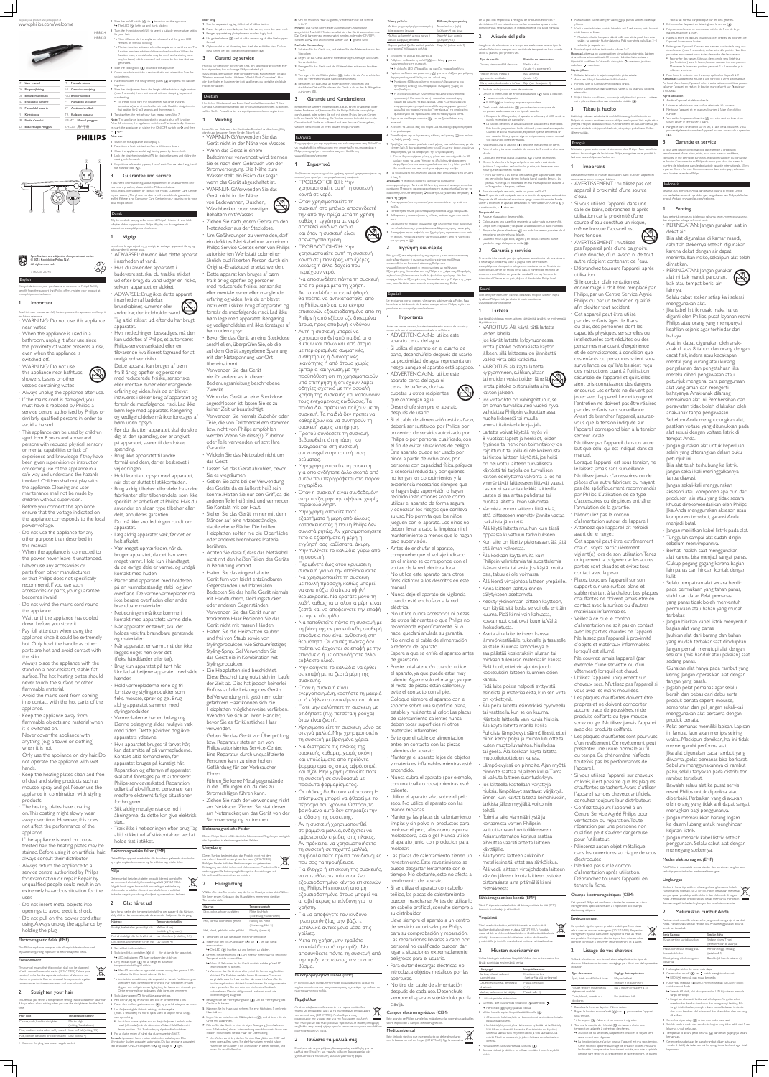#### Register your product and get support at www.philips.com/welcome



HP8324 HP8333

Specifications are subject to change without notice © 2015 Koninklijke Philips N.V. All rights reserved.

3140 035 26346

#### English

Congratulations on your purchase, and welcome to Philips! To fully benefit from the support that Philips offers, register your product at www.philips.com/welcome.

#### 1 Important

 $\cdot$  If the mains cord is damaged, you must have it replaced by Philips, a service centre authorised by Philips or similarly qualified persons in order to avoid a hazard. This appliance can be used by children

Read this user manual carefully before you use the appliance and keep it for future reference. WARNING: Do not use this appliance

near water. When the appliance is used in a bathroom, unplug it after use since the proximity of water presents a risk, even when the appliance is switched off.

 WARNING: Do not use this appliance near bathtubs, showers, basins or other vessels containing water.

Always unplug the appliance after use.

flammable material. Avoid the mains cord from coming into contact with the hot parts of the appliance.

 $\cdot$  Keep the appliance away from flammable objects and material when it is switched on.

 $\cdot$  Keep the heating plates clean and free of dust and styling products such as mousse, spray and gel. Never use the

aged from 8 years and above and persons with reduced physical, sensory or mental capabilities or lack of experience and knowledge if they have been given supervision or instruction concerning use of the appliance in a safe way and understand the hazards involved. Children shall not play with the appliance. Cleaning and user maintenance shall not be made by children without supervision. Before you connect the appliance, ensure that the voltage indicated on the appliance corresponds to the local power voltage. Do not use the appliance for any

 $\cdot$  The heating plates have coating on. This coating might slowly wear away over time. However, this does not affect the performance of the appliance.

· If the appliance is used on colortreated hair, the heating plates may be stained. Before using it on artificial hair, always consult their distributor.

 $\cdot$  Do not insert metal objects into openings to avoid electric shock. Do not pull on the power cord after using. Always unplug the appliance by holding the plug.

#### Electromagnetic fields (EMF)

This Philips appliance complies with all applicable standards and regulations regarding exposure to electromagnetic fields

#### Environment

other purpose than described in this manual. When the appliance is connected to

the power, never leave it unattended. Never use any accessories or parts from other manufacturers or that Philips does not specifically recommend. If you use such accessories or parts, your guarantee becomes invalid.

 Do not wind the mains cord round the appliance.

 Wait until the appliance has cooled down before you store it.  $\cdot$  Pay full attention when using the appliance since it could be extremely

hot. Only hold the handle as other parts are hot and avoid contact with the skin.

» The ion function activates when the appliance is switched on. The function provides additional shine and reduces frizz. When the function is on, a special odor may be smelt and a sizzling noise may be heard, which is normal and caused by the ions that are fremad. 5 Opbevar det på et sikkert og tørt sted, der er frit for støv. Du kan også hænge det op i ophængningsstroppen (6).

 Always place the appliance with the stand on a heat-resistant, stable flat surface. The hot heating plates should never touch the surface or other

 Never cover the appliance with anything (e.g. a towel or clothing) when it is hot.

 Only use the appliance on dry hair. Do not operate the appliance with wet hands.

to I again After use:

**PHILIPS** 

4 Slide the closing lock  $( \circledS )$  to unlock the appliance.

| User manual<br>FN            | Manuale utente           | 6 Place it between the straightening plates ((4)) and press the handles<br>together.<br>7 Slide the straightener down the length of the hair in a single motion<br>(max, 5 seconds) from root to end, without stopping to prevent<br>overheating. |
|------------------------------|--------------------------|---------------------------------------------------------------------------------------------------------------------------------------------------------------------------------------------------------------------------------------------------|
| Brugervejledning<br>DА       | Gebruiksaanwijzing<br>NI |                                                                                                                                                                                                                                                   |
| Benutzerhandbuch<br>DF.      | NO Brukerhåndbok         |                                                                                                                                                                                                                                                   |
| Εγχειρίδιο χρήσης<br>EL      | Manual do utilizador     | • To create flicks, turn the straightener half-circle inwards                                                                                                                                                                                     |
| Manual del usuario<br>FS     | Användarhandbok<br>SV.   | (or outwards) when it reaches the hair ends. Hold the straightener in<br>that position for 2 to 3 seconds, and then release it.                                                                                                                   |
| Käyttöopas<br>H              | Kullanım kılavuzu<br>TR. | 8 To straighten the rest of your hair, repeat steps 5 to 7.                                                                                                                                                                                       |
| Mode d'emploi<br>FR.         | Manual pengguna<br>MS-MY | Note: The appliance is equipped with an auto-shut off function.<br>After 60 minutes, the appliance switches off automatically. You can                                                                                                            |
| Buku Petunjuk Pengguna<br>ID | 用户手册<br>7H-CN            | re-start the appliance by sliding the ON/OFF switch to O and then                                                                                                                                                                                 |

 $\circ$   $\circ$   $\circ$ <del>ায় দুদুদুদুদু</del>দ ( )  $(\mathbb{L})^d$  $\begin{pmatrix} 4 & 3 & 2 \end{pmatrix}$  (1)  $\circled{2}$ 

appliance in combination with styling products.

www.philips.com/support or contact the Philips Customer Care Centre in your country. The phone number is in the worldwide guarantee leaflet. If there is no Consumer Care Centre in your country, go to your

Switch off the appliance and unplug it.

 Always return the appliance to a service centre authorized by Philips for examination or repair. Repair by unqualified people could result in an extremely hazardous situation for the user.

andre kar, der indeholder vand. Tag altid stikket ud, efter du har brugt

This symbol means that this product shall not be disposed of with normal household waste (2012/19/EU). Follow your country's rules for the separate collection of electrical and  $\sim 100$ electronic products. Correct disposal helps prevent negative consequences for the environment and human health.

### 2 Straighten your hair

Ensure that you select a temperature setting that is suitable for your hair. Always select a low setting when you use the straightener for the first time.

Hair Type 7HPSHUDW 7Emperature Setting Coarse, curly, hard-to-straighten Mid to High setting 4 and above Fine, medium-textured or softly waved Low to Mid (setting 4-5) Pale, blonde, bleached or color-treated Low (below 4)

1 Connect the plug to a power supply socket

for your hair. » After 60 seconds, the appliance is heated and the green LED remains on without blinking.

udført af ukvalificeret personale kan medføre ekstremt farlige situationer for brugeren. Stik aldrig metalgenstande ind i åbningerne, da dette kan give elektrisk stød.

generated.

Sørg for at vælge den temperaturindstilling, der passer til din hårtype. Vælg altid en lav temperatur, når du anvender fladjernet første gang. Hårtype 7emperaturindstilling Kraftigt, krøllet eller genstridigt hår Mellem til hø (indstilling 4 og over) Fint, almindeligt eller let krøllet hår Lav til mellem (indstilling 4-5) Lyst, blondt, afbleget eller farvet hår Lav (under 4) 1 Sæt stikket i stikkontakter. 2 Skub tænd/sluk-kontakten  $(1)$  til  $I$  for at tænde for apparatet. → LED-indikatoren (3) lyser og begynder at blinke. 3 Drej reostat-hjulet  $(2)$  for at vælge en passende temperaturindstilling til dit hår. » Efter 60 sekunder er apparatet varmet op, og den grønne LEDindikator forbliver tændt uden at blinke. » Ion-funktionen aktiveres, når apparatet er tændt. Funktionen giver yderligere glans og reducerer krusning. Når funktionen er slået til, giver det muligvis en særlig lugt, og der høres en hvislende lyd. Dette er normalt og forårsages af de ioner, der genereres. 4 Skub låseknappen (5) for at låse apparatet op. 5 Red dit hår, og tag en hårlok, der ikke er bredere end 5 cm. 6 Placer den mellem glattepladerne  $(4)$ , og pres håndtagene sammen. 7 Lad fladjernet glide i hårets retning i én bevægelse

straightening.

2 Place it on a heat-resistant surface until it cools down. 3 Clean the appliance and straightening plates by damp cloth. 4 Lock the straightening plates  $(\circledS)$  by closing the arms and sliding the

(maks. 5 sekunder) fra rod til spids uden at stoppe for at undgå einzuschalten. Ionenerzeugung ausgelöst. 4 Betätigen Sie die Verriegelungstaste (5), um die Verriegelung des Geräts aufzuheben. 5 Kämmen Sie Ihr Haar, und nehmen Sie eine höchstens 5 cm breite Haarsträhne. 6 Legen Sie sie zwischen die Glätterplatten (4), und drücken Sie die

overophedning. • For at lave buede spidser skal du dreie fladiernet i en halv cirkel indad (eller udad), når du når enden af håret. Hold fladiernet i denne position i 2 til 3 sekunder, og slip derefter hårlokken. 8 For at glatte resten af håret skal du gentage trin 5 til 7. Bemærk: Apparatet har en automatisk sikkerhedsafbryder. Efter

60 minutter slukker apparatet automatisk. Du kan genstarte apparatet ved at skubbe ON/OFF-knappen til O og tilbage til I igen.

# Umgebung

2 Slide the on/off switch  $(0)$  to I to switch on the appliance.  $\rightarrow$  The LED (3) lights up and starts blinking. Efter brug: 1 Sluk for apparatet, og tag stikket ud af stikkontakten.

3 Turn the rheostat wheel  $(2)$ ) to select a suitable temperature setting 2 Placer det på en overflade, der kan tåle varme, mens det køler ned. 3 Rengør apparatet og glattepladerne med en fugtig klud.

closing lock forwards.

the hanging loop  $(\circledast)$ .

3 Guarantee and service

5 Comb your hair and take a section that is not wider than 5cm for 6 Place it between the straightening plates  $(4)$  and press the handles Hvis du har behov for oplysninger, f.eks. om udskiftning af tilbehør, eller har et problem, kan du besøge Philips' websted på www.philips.com/support eller kontakte Philips Kundecenter i dit land <sup>7</sup>elefonnummeret findes i folderen "World-Wide Guarantee". Hvis der ikke findes et kundecenter i dit land, bedes du kontakte din lokale Philips-forhandler.

4 Lås glattepladerne (5) ved at lukke armene og skubbe låseknappen

If you need information e.g. about replacement of an attachment or if

you have a problem, please visit the Philips website at

5 Keep it in a safe and dry place, free of dust. You can also hang it with

local Philips dealer.

Dansk

Tillykke med dit køb, og velkommen til Philips! Hvis du vil have fuldt udbytte af den support, som Philips tilbyder, kan du registrere dit

Læs denne brugervejledning grundigt, før du tager apparatet i brug, og

· Ziehen Sie nach jedem Gebrauch den Netzstecker aus der Steckdose. Um Gefährdungen zu vermeiden, darf

produkt på www.philips.com/welcome.

opbevar den til senere brug.

ADVARSEL: Anvend ikke dette apparat

i nærheden af vand.

Hvis du anvender apparatet i

badeværelset, skal du trække stikket ud efter brug, da vand udgør en risiko,

selvom apparatet er slukket.

ADVARSEL: Brug ikke dette apparat

i nærheden af badekar, brusekabiner, kummer eller

**Vigtigt** 

apparatet.

 Hvis netledningen beskadiges, må den kun udskiftes af Philips, et autoriseret

tilsvarende kvalificeret fagmand for at

Philips-serviceværksted eller en

undgå enhver risiko.

Dette apparat kan bruges af børn

Dieses Symbol bedeutet, dass das Produkt nicht mit dem normalen Hausmüll entsorgt werden kann (2012/19/EU). Befolgen Sie die örtlichen Bestimmungen zur getrennten Entsorgung von elektrischen und elektronischen Produkten. Eine ordnungsgemäße Entsorgung hilft, negative Auswirkungen auf Umwelt und Gesundheit zu vermeiden. **Haarglättung** 

fra 8 år og opefter og personer med reducerede fysiske, sensoriske eller mentale evner eller manglende erfaring og viden, hvis de er blevet instrueret i sikker brug af apparatet og forstår de medfølgende risici. Lad ikke børn lege med apparatet. Rengøring og vedligeholdelse må ikke foretages af børn uden opsyn. Før du tilslutter apparatet, skal du sikre dig, at den spænding, der er angivet på apparatet, svarer til den lokale spænding. Brug ikke apparatet til andre formål end dem, der er beskrevet i vejledningen. Hold konstant opsyn med apparatet, når det er sluttet til stikkontakten. Brug aldrig tilbehør eller dele fra andre fabrikanter eller tilbehør/dele, som ikke specifikt er anbefalet af Philips. Hvis du anvender en sådan type tilbehør eller dele, annulleres garantien. Du må ikke sno ledningen rundt om apparatet. Læg aldrig apparatet væk, før det er helt afkølet. Vær meget opmærksom, når du bruger apparatet, da det kan være meget varmt. Hold kun i håndtaget, da de øvrige dele er varme, og undgå kontakt med huden. Placer altid apparatet med holderen på en varmebestandig, stabil og jævn overflade. De varme varmeplader må ikke berøre overfladen eller andre brændbare materialer. Netledningen må ikke komme i kontakt med apparatets varme dele. Når apparatet er tændt, skal det holdes væk fra brændbare genstande og materialer. Når apparatet er varmt, må der ikke lægges noget hen over det (f.eks. håndklæder eller tøj) Brug kun apparatet på tørt hår. Undlad at betjene apparatet med våde hænder. Hold varmepladerne rene og fri for støv og stylingprodukter som f.eks. mousse, spray og gel. Brug aldrig apparatet sammen med

#### forhindre negativ påvirkning af miljøet og menneskers helbred. Wählen Sie eine Temperatur aus, die Ihrem Haartyp entspricht. Wählen Sie beim ersten Gebrauch des Haarglätters immer eine niedrige Temperaturstufe.

Haartyp Temperaturstufe Dick, lockig, schwer zu glätten Mittel bis Hoch Fein, normal oder leicht gewellt Niedrig bis Mittel Hell, blond, gebleicht oder gefärbt Niedrig (unter 4) 1 Verbinden Sie das Netzkabel mit einer Steckdose. 2 Stellen Sie den Ein-/Ausschalter (1) auf I , um das Gerät → Die LED (3) leuchtet auf und beginnt zu blinken. 3 Drehen Sie die Regelung (2), um eine für Ihren Haartyp geeignete Temperaturstufe auszuwählen » Nach 60 Sekunden ist das Gerät erhitzt, und die grüne LED leuchtet ohne zu blinken. » Wenn sie das Gerät einschalten, wird die Ionisierungsfunktion

> max. 5 Sekunden) ohne Unterbrechung vom Haaransatz bis zu den Aυτό το σύμβολο υποδεικνύει ότι το παρόν προϊόν δεν πρέπει να απορριφθεί μαζί με τα συνηθισμένα απορρίμματα του σπιτιού σας (2012/19/ΕΕ). Ακολουθήστε τους κανονισμούς της χώρας σας για την ξεχωριστή συλλογή **ΠΟΥ** των ηλεκτρικών και ηλεκτρονικών προϊόντων. Η σωστή απόρριψη συμβάλλει στην αποφυγή αρνητικών επιπτώσεων για το περιβάλλον και την ανθρώπινη υνεία

### 2 Ισιώστε τα μαλλιά σας

Επιλέγετε πάντα μια ρύθμιση θερμοκρασίας κατάλληλη για τα μαλλιά σας. Επιλέξτε μια χαμηλή ρύθμιση θερμοκρασίας εάν χρησιμοποιείτε τον ισιωτή μαλλιών για πρώτη φορά.

(or outwards) when it reaches the hair ends. Hold the straightener in Herzlichen Glückwunsch zu Ihrem Kauf und willkommen bei Philips! Um das Kundendienstangebot von Philips vollständig nutzen zu können, sollten Sie Ihr Produkt unter www.philips.com/welcome registrieren.

### **Wichtig**

stylingprodukter. Varmepladerne har en belægning. Denne belægning slides muligvis væk med tiden. Dette påvirker dog ikke apparatets ydeevne. Hvis apparatet bruges til farvet hår, kan det smitte af på varmepladerne.

8 Um Ihr restliches Haar zu glätten, wiederholen Sie die Schritte 5 bis 7.

Kontakt altid forhandleren, før apparatet bruges på kunstigt hår. · Reparation og eftersyn af apparatet skal altid foretages på et autoriseret Philips-serviceværksted. Reparation

συσκευής. • Όταν η συσκευή είναι ενεργοποιημένη, κρατήστε τη μακριά από εύφλεκτα αντικείμενα και υλικά. • Ποτέ μην καλύπτετε τη συσκευή με οτιδήποτε (π.χ. πετσέτα ή ρούχα) όταν είναι ζεστή.

• Χρησιμοποιείτε τη συσκευή μόνο σε στεγνά μαλλιά. Μην χρησιμοποιείτε τη συσκευή με βρεγμένα χέρια. • Να διατηρείτε τις πλάκες της συσκευής καθαρές, χωρίς σκόνη και υπολείμματα από προϊόντα φορμαρίσματος όπως αφρό, σπρέι και τζελ. Μην χρησιμοποιείτε ποτέ τη συσκευή σε συνδυασμό με προϊόντα φορμαρίσματος.

3 Reinigen Sie das Gerät und die Glätterplatten mit einem feuchten Tuch. 4 Verriegeln Sie die Glätterplatten (3), indem Sie die Arme schließen

und die Verriegelungstaste nach vorne schieben. 5 Bewahren Sie das Gerät an einem sicheren, trockenen und staubfreien Ort auf. Sie können das Gerät auch an der Aufhängeöse aufhängen (6)

#### **Garantie und Kundendienst**

 Træk ikke i netledningen efter brug. Tag altid stikket ud af stikkontakten ved at holde fast i stikket.

#### Elektromagnetiske felter (EMF)

Συγχαρητήρια για την αγορά σας και καλωσορίσατε στη Philips! Για να επωφεληθείτε πλήρως από την υποστήριξη που προσφέρει η Philips, καταχωρήστε το προϊόν σας στη διεύθυνση www.philips.com/welcome.

#### 1 Σημαντικό

Διαβάστε το παρόν εγχειρίδιο χρήσης προτού χρησιμοποιήσετε τη συσκευή και κρατήστε το για μελλοντική αναφορά. • ΠΡΟΕΙΔΟΠΟΙΗΣΗ: Mnv

χρησιμοποιείτε αυτή τη συσκευή

κοντά σε νερό. Όταν χρησιμοποιείτε τη συσκευή στο μπάνιο, αποσυνδέετέ την από την πρίζα μετά τη χρήση καθώς η εγγύτητα με νερό αποτελεί κίνδυνο ακόμα και όταν η συσκευή είναι απενεργοποιημένη. **• ΠΡΟΕΙΔΟΠΟΙΗΣΗ: Mnv** χρησιμοποιείτε αυτή τη συσκευή κοντά σε μπανιέρες, ντουζιέρες, λεκάνες ή άλλα δοχεία που

περιέχουν νερό.

• Να αποσυνδέετε πάντα τη συσκευή από το ρεύμα μετά τη χρήση. • Αν το καλώδιο υποστεί φθορά, θα πρέπει να αντικατασταθεί από τη Philips, από κάποιο κέντρο επισκευών εξουσιοδοτημένο από τη Philips ή από εξίσου εξειδικευμένα άτομα, προς αποφυγή κινδύνου. • Αυτή η συσκευή μπορεί να χρησιμοποιηθεί από παιδιά από 8 ετών και πάνω και από άτομα με περιορισμένες σωματικές, αισθητήριες ή διανοητικές ικανότητες ή από άτομα χωρίς εμπειρία και γνώση, με την προϋπόθεση ότι τη χρησιμοποιούν υπό επιτήρηση ή ότι έχουν λάβει οδηγίες σχετικά με την ασφαλή χρήση της συσκευής και κατανοούν τους ενεχόμενους κινδύνους. Τα παιδιά δεν πρέπει να παίζουν με τη συσκευή. Τα παιδιά δεν πρέπει να καθαρίζουν και να συντηρούν τη συσκευή χωρίς επιτήρηση. • Προτού συνδέσετε τη συσκευή, βεβαιωθείτε ότι η τάση που αναγράφεται στη συσκευή αντιστοιχεί στην τοπική τάση ρεύματος. <u>· Μην χρησιμοποιείτε τη συσκευή</u> για οποιονδήποτε άλλο σκοπό από αυτόν που περιγράφεται στο παρόν εγχειρίδιο. Όταν η συσκευή είναι συνδεδεμένη στην πρίζα, μην την αφήνετε χωρίς παρακολούθηση • Μην χρησιμοποιείτε ποτέ εξαρτήματα ή μέρη από άλλους κατασκευαστές ή που η Philips δεν συνιστά ρητώς. Αν χρησιμοποιήσετε τέτοια εξαρτήματα ή μέρη, η εγγύησή σας καθίσταται άκυρη · Μην τυλίγετε το καλώδιο γύρω από τη συσκευή. • Περιμένετε έως ότου κρυώσει η συσκευή για να την αποθηκεύσετε. • Να χρησιμοποιείτε τη συσκευή με πολλή προσοχή, καθώς μπορεί να αναπτύξει ιδιαίτερα υψηλή θερμοκρασία. Να κρατάτε μόνο τη λαβή, καθώς τα υπόλοιπα μέρη είναι ζεστά, και να αποφεύγετε την επαφή με την επιδερμίδα. • Να τοποθετείτε πάντα τη συσκευή με τη βάση της σε μια επίπεδη, σταθερή επιφάνεια που είναι ανθεκτική στη θερμότητα. Οι καυτές πλάκες δεν πρέπει να έρχονται σε επαφή με την επιφάνεια ή με οποιοδήποτε άλλο εύφλεκτο υλικό. • Μην αφήνετε το καλώδιο να έρθει σε επαφή με τα ζεστά μέρη της

Τύπος μαλλιών στη θύθμιση θερμοκρασίας Μαλλιά με χοντρή τρίχα, κατσαρά ή Μεσαία έως υψηλή δύσκολα στο ίσκωμα (oúθιμση 4 και άνω Μαλλιά με λεπτή ή μέτρια τρίχα ή μαλλιά ελαφρώς σπαστά Χαμηλή έως μεσαία (ρύθμιση 4-5) Θαμπά μαλλιά, ξανθά μαλλιά, μαλλιά Χαμηλή (κάτω από 4) με ντεκαπάζ ή βαμμένα μαλλιά 1 Συνδέστε το βύσμα σε μια πρίζα 2 Ρυθμίστε το διακόπτη on/off (①) στη θέση Ι για να <u>νεονοποιήσετε τη συσκευή</u> → Η ένδειξη LED (3)) ανάβει και αργίζει να αναβοσβήνει 3 Γυρίστε το δίσκο του ροοστάτη (2) για να επιλέξετε μια ρύθμιση θερμοκρασίας κατάλληλη για τα μαλλιά σας. → Μετά από 60 δευτερόλεπτα, η συσκευή θερμαίνεται και η πράσινη ένδειξη LED παραμένει αναμμένη χωρίς να σναβοσβήνει. → Η λειτουργία ιόντων ενεργοποιείται μόλις ενεργοποιηθεί η συσκευή. Η λειτουργία αυτή προσφέρει περισσότερη λάμψη και μειώνει το φριζάρισμα. Όταν η λειτουργία είναι

ενεργοποιημένη, μπορεί να αναδίδεται μια χαρακτηριστική μυρωδιά και να ακούγεται ένα "τσιτσίρισμα", το οποίο είνα φυσιολογικό και προκαλείται από τα παραγόμενα ιόντα. 4 Σύρετε το κλείδωμα πλακών ((5)) για να ξεκλειδώσετε τη συσκευή.

5 Χτενίστε τα μαλλιά σας και πάρτε μια τούφα όχι φαρδύτερη από 5 εκ για ίσιωμο Τοποθετήστε την ανάμεσα στις πλάκες ισιώματος ((4) και πιέστε

τις λαβές μεταξύ τους. 7 Τραβήξτε τον ισιωτή μαλλιών κατά μήκος των μαλλιών σας με μία kίνηση (μέγ. 5 δευτερόλεπτα) από τις ρίζες ως τις άκρες, χωρίς να ουση Delo y tome un mechón de menos de 5 cm de ancho para σταματήσετε, για να αποφύγετε την υπερθέρμαν • Για να δημιουργήσετε μύτες, γυρίστε τον ισιωτή μαλλιών 90

μοίρες προς τα μέσα (ή προς τα έξω) όταν φτάσετε στην άκρη. Κρατήστε τον ισιωτή μαλλιών σε αυτή τη θέση για 2-3 δευτερόλεπτα και, στη συνέχεια, αφήστε την τούφα 8 Για να ισιώσετε τα υπόλοιπα μαλλιά σας, επαναλάβετε τα βήματα

5 *kwc* 7 Σημείωση: Η συσκευή διαθέτει λειτουργία αυτόματης σπευεργοποίησης Μετά από 60 λεπτά η συσκευή απενεργοποιείτα ơƵƴƼƬơƴơƍưƯƱƥƟƴƥƭơƥươƭƥƪƪƩƭƞƳƥƴƥƴƧƳƵƳƪƥƵƞƱƵƨƬƟƦƯƭƴơƲƴƯ διακόπτη ΟΝ/ΟΕΕ στη θέση Ο και στη συνέχεια πίσω στη θέση Ι Μετά τη χρήση

1 Aπενεργοποιήστε τη συσκευή και αποσυνδέστε την από την πρίζα 2 Τοποθετήστε τον σε μια αντιθερμική επιφάνεια μέχρι να κρυώσει.

3 Καθαρίστε τη συσκευή και τις πλάκες ισιώματος με ένα νωπό πανί. 4 Κλειδώστε τις πλάκες ισιώματος ((5) κλείνοντας τους βραχίονες και ολισθαίνοντας την ασφάλεια κλειδώματος προς τα εμπρός.

5 Διατηρήστε τη σε ασφαλές και ξηρό μέρος, προστατευμένο από τη σκόνη. Μπορείτε επίσης να την κρεμάσετε από το γαντζάκι για κρέμασμα (6).

### 3 Εγγύηση και σέρβις

Εάν χρειάζεστε πληροφορίες, π.χ. σχετικά με την αντικατάσταση ενός εξαρτήματος ή αν αντιμετωπίζετε κάποιο πρόβλημα, επισκεφθείτε το δικτυακό τόπο της Philips στο www.philips.com/support ή επικοινωνήστε με το Κέντρο FΣυπηρέτησης Καταναλωτών της Philips στη χώρα σας. Ο αριθμός τηλεφώνου βρίσκεται στο διεθνές φυλλάδιο εγγύησης. Εάν δεν υπάρχει Κέντρο Εξυπηρέτησης Καταναλωτών της Philips στη χώρα σας, απευθυνθείτε στον τοπικό αντιπρόσωπο της Philips.

Dette Philips-apparat overholder alle branchens gældende standarder og regler angående eksponering for elektromagnetiske felter. Miljø Dette symbol betyder, at dette produkt ikke må bortskaffes sammen med almindeligt husholdningsaffald (2012/19/EU). Følg dit lands regler for særskilt indsamling af elektriske og **Contract** elektroniske produkter. Korrekt bortskaffelse er med til at

### 2 Glat håret ud

### 3 Garanti og service

### Deutsch

Lesen Sie vor Gebrauch des Geräts das Benutzerhandbuch sorgfältig durch, und bewahren Sie es für die Zukunft auf. WARNUNG: Verwenden Sie das

Gerät nicht in der Nähe von Wasser. Wenn das Gerät in einem Badezimmer verwendet wird, trennen

Sie es nach dem Gebrauch von der Stromversorgung. Die Nähe zum Wasser stellt ein Risiko dar, sogar

wenn das Gerät abgeschaltet ist. WARNUNG: Verwenden Sie das Gerät nicht in der Nähe von Badewannen, Duschen,

Waschbecken oder sonstigen Behältern mit Wasser.

> Español Le felicitamos por su compra y le damos la bienvenida a Philips. Para beneficiarse totalmente de la asistencia que ofrece Philips, registre su

Antes de usar el aparato, lea atentamente este manual de usuario y consérvelo por si necesitara consultarlo en el futuro ADVERTENCIA: No utilice este aparato cerca del agua. Si utiliza el aparato en el cuarto de baño, desenchúfelo después de usarlo. La proximidad de agua representa un riesgo, aunque el aparato esté apagado. ADVERTENCIA: No utilice este aparato cerca del agua ni cerca de bañeras, duchas, cubetas u otros recipientes que contengan agua. Desenchufe siempre el aparato después de usarlo. Si el cable de alimentación está dañado, deberá ser sustituido por Philips, por un centro de servicio autorizado por Philips o por personal cualificado, con el fin de evitar situaciones de peligro. Este aparato puede ser usado por niños a partir de ocho años, por personas con capacidad física, psíquica o sensorial reducida y por quienes no tengan los conocimientos y la experiencia necesarios siempre que lo hagan bajo supervisión o hayan recibido instrucciones sobre cómo utilizar el aparato de forma segura y conozcan los riesgos que conlleva su uso. No permita que los niños jueguen con el aparato. Los niños no deben llevar a cabo la limpieza ni el mantenimiento a menos que lo hagan bajo supervisión. Antes de enchufar el aparato, compruebe que el voltaje indicado en el mismo se corresponde con el voltaje de la red eléctrica local. No utilice este aparato para otros fines distintos a los descritos en este manual.  $\cdot$  Nunca deje el aparato sin vigilancia cuando esté enchufado a la red eléctrica. No utilice nunca accesorios ni piezas de otros fabricantes o que Philips no recomiende específicamente. Si lo hace, quedará anulada su garantía. No enrolle el cable de alimentación alrededor del aparato. Espere a que se enfríe el aparato antes de guardarlo. · Preste total atención cuando utilice el aparato, ya que puede estar muy caliente. Agarre solo el mango, ya que el resto de piezas están calientes, y evite el contacto con al piel. Coloque siempre el aparato con el soporte sobre una superficie plana, estable y resistente al calor. Las placas de calentamiento calientes nunca deben tocar superficies ni otros materiales inflamables. Evite que el cable de alimentación entre en contacto con las piezas calientes del aparato. · Mantenga el aparato lejos de objetos y materiales inflamables mientras esté

ein defektes Netzkabel nur von einem Philips Service-Center, einer von Philips autorisierten Werkstatt oder einer ähnlich qualifizierten Person durch ein Original-Ersatzkabel ersetzt werden. Dette apparat kan bruges af børn fra 8 år og opefter og personer med reducerede fysiske, sensoriske eller mentale evner eller manglende erfaring og viden, hvis de er blevet instrueret i sikker brug af apparatet og

forstår de medfølgende risici. Lad ikke børn lege med apparatet. Rengøring og vedligeholdelse må ikke foretages af børn uden opsyn.

 Bevor Sie das Gerät an eine Steckdose anschließen, überprüfen Sie, ob die auf dem Gerät angegebene Spannung mit der Netzspannung vor Ort übereinstimmt. Verwenden Sie das Gerät

> de servicio autorizado por Philips para su comprobación y reparación. Las reparaciones llevadas a cabo por personal no cualificado pueden dar lugar a situaciones extremadamente peligrosas para el usuario. · Para evitar descargas eléctricas, no introduzca objetos metálicos por las aberturas. No tire del cable de alimentación después de cada uso. Desenchufe

siempre el aparato sujetándolo por la clavija.

Campos electromagnéticos (CEM)

sobre exposición a campos electromagnéticos.

#### Medioambiental

nie für andere als in dieser Bedienungsanleitung beschriebene Zwecke. Wenn das Gerät an eine Steckdose angeschlossen ist, lassen Sie es zu keiner Zeit unbeaufsichtigt. Verwenden Sie niemals Zubehör oder Teile, die von Drittherstellern stammen bzw. nicht von Philips empfohlen werden. Wenn Sie diese(s) Zubehör oder Teile verwenden, erlischt Ihre Garantie. Wickeln Sie das Netzkabel nicht um das Gerät. Lassen Sie das Gerät abkühlen, bevor Sie es wegräumen. Geben Sie acht bei der Verwendung des Geräts, da es äußerst heiß sein könnte. Halten Sie nur den Griff, da die anderen Teile heiß sind, und vermeiden Sie Kontakt mit der Haut. Stellen Sie das Gerät immer mit dem Ständer auf eine hitzebeständige, stabile ebene Fläche. Die heißen Heizplatten sollten nie die Oberfläche oder anderes brennbares Material berühren. Achten Sie darauf, dass das Netzkabel nicht mit den heißen Teilen des Geräts in Berührung kommt. Halten Sie das eingeschaltete Gerät fern von leicht entzündbaren Gegenständen und Materialien. Bedecken Sie das heiße Gerät niemals mit Handtüchern, Kleidungsstücken oder anderen Gegenständen. Verwenden Sie das Gerät nur an trockenem Haar. Bedienen Sie das Gerät nicht mit nassen Händen. Halten Sie die Heizplatten sauber und frei von Staub sowie von Stylingprodukten, wie Schaumfestiger, Styling-Spray, Gel. Verwenden Sie das Gerät nie in Kombination mit Stylingprodukten. Die Heizplatten sind beschichtet. Diese Beschichtung nutzt sich im Laufe der Zeit ab. Dies hat jedoch keinerlei Einfluss auf die Leistung des Geräts. Bei Verwendung mit getöntem oder gefärbtem Haar können sich die Heizplatten möglicherweise verfärben. Wenden Sie sich an Ihren Händler, bevor Sie es für künstliches Haar verwenden. Geben Sie das Gerät zur Überprüfung bzw. Reparatur stets an ein von Philips autorisiertes Service-Center. Eine Reparatur durch unqualifizierte Personen kann zu einer hohen Gefährdung für den Verbraucher führen. Führen Sie keine Metallgegenstände in die Öffnungen ein, da dies zu Stromschlägen führen kann. Ziehen Sie nach der Verwendung nicht am Netzkabel. Ziehen Sie stattdessen am Netzstecker, um das Gerät von der Stromversorgung zu trennen. Elektromagnetische Felder .<br>Dieses Philips Gerät erfüllt sämtliche Normen und Regelungen bezüglich der Exposition in elektromagnetischen Feldern.

> Este símbolo significa que este producto no debe desecharse con la basura normal del hogar (2012/19/UE). Siga la normativa

Toimita laite vianmääritystä ja korjaamista varten Philipsin valtuuttamaan huoltoliikkeeseen. Asiantuntematon korjaus saattaa aiheuttaa vaaratilanteita laitteen käyttäjälle.

de su país con respecto a la recogida de productos eléctricos y electrónicos. El correcto desecho de los productos ayuda a evitar consecuencias negativas para el medioambiente y la salud humana.

Asegúrese de seleccionar una temperatura adecuada para su tipo de rabello. Seleccione siempre una posición de temperatura baja cuando utilice la plancha por primera vez. Tipo de cabello 3RVLFLO estabello 3RV Posición de temperatura Grueso, rizado o difícil de alisar Media a alta aiuste 4 v supe Fino, de textura media o Baia a media

ligeramente ondulado  $(i)$ iuste 4-5) Claro, rubio, decolorado o teñido Baja (por debajo de 4) 1 Enchufe la clavija a una toma de corriente 2 Deslice el interruptor de encendido/apagado (1) hasta la posición I para encender el aparato.

 $\rightarrow$  El LED (3) se ilumina y empieza a parpadear 3 Gire la rueda del reóstato (2) para seleccionar un ajuste de temperatura adecuado para su tipo de cabello. → Después de 60 segundos, el aparato se calienta y el LED verde se queda encendido sin parpadear. » La función de iones se activa cuando el aparato está encendido. Esta función proporciona brillo adicional y reduce el encrespado.

Cuando se activa esta función, es posible que se desprenda un olor característico y que se oiga un chisporroteo, esto es normal y lo causan los iones generados. 4 Para desbloquear el aparato (G) deslice el mecanismo de cierre.

6 Colóquelo entre las placas alisadoras  $(\mathcal{A})$  y junte los mangos. 7 Deslice la plancha a lo largo del pelo en un solo movimiento (máximo 5 segundos) de la raíz a las puntas, sin detenerse para evitar que se caliente en exceso.

vaikka virta olisi katkaistu. VAROITUS: älä käytä laitetta kylpyammeen, suihkun, altaan tai muiden vesiastioiden lähellä.  $\cdot$  Irrota pistoke pistorasiasta aina käytön jälkeen. los virtajohto on vahingoittunut, se on oman turvallisuutesi vuoksi hyvä vaihdattaa Philipsin valtuuttamassa huoltoliikkeessä tai muulla ammattitaitoisella korjaajalla. Laitetta voivat käyttää myös yli 8-vuotiaat lapset ja henkilöt, joiden fyysinen tai henkinen toimintakyky on rajoittunut tai joilla ei ole kokemusta tai tietoa laitteen käytöstä, jos heitä on neuvottu laitteen turvallisesta käytöstä tai tarjolla on turvallisen käytön edellyttämä valvonta ja jos he ymmärtävät laitteeseen liittyvät vaarat. Lasten ei saa antaa leikkiä laitteella. Lasten ei saa antaa puhdistaa tai huoltaa laitetta ilman valvontaa. Varmista ennen laitteen liittämistä, että laitteeseen merkitty jännite vastaa paikallista jännitettä.  $\cdot$  Älä käytä laitetta muuhun kuin tässä oppaassa kuvattuun tarkoitukseen.  $\cdot$  Kun laite on liitetty pistorasiaan, älä jätä sitä ilman valvontaa. Älä koskaan käytä muita kuin Philipsin valmistamia tai suosittelemia lisävarusteita tai -osia. Jos käytät muita osia, takuu ei ole voimassa.  $\cdot$  Älä kierrä virtajohtoa laitteen ympärille.  $\cdot$  Anna laitteen jäähtyä ennen säilytykseen asettamista. · Keskity yksinomaan laitteen käyttöön, kun käytät sitä, koska se voi olla erittäin kuuma. Pidä kiinni vain kahvasta, koska muut osat ovat kuumia. Vältä ihokosketusta. Aseta aina laite telineen kanssa lämmönkestävälle, tukevalle ja tasaiselle alustalle. Kuumaa lämpölevyä ei saa päästää kosketuksiin alustan tai minkään tulenaran materiaalin kanssa. · Pidä huoli, ettei virtajohto joudu kosketuksiin laitteen kuumien osien kanssa. Pidä laite poissa helposti syttyvistä esineistä ja materiaaleista, kun sen virta on kytkettynä. Älä peitä laitetta esimerkiksi pyyhkeellä tai vaatteella, kun se on kuuma. Käsittele laitteella vain kuivia hiuksia. Älä käytä laitetta märillä käsillä. Puhdista lämpölevyt säännöllisesti, ettei niihin kerry pölyä ja muotoilutuotteita, kuten muotoiluvaahtoa, hiuslakkaa tai geeliä. Älä koskaan käytä laitetta muotoilutuotteiden kanssa.  $\cdot$  Lämpölevyissä on pinnoite. Ajan myötä pinnoite saattaa hiljalleen kulua. Tämä ei vaikuta laitteen suorituskykyyn. - Jos laitteella käsitellään värjättyjä hiuksia, lämpölevyt saattavat värjäytyä. Ennen kuin käytät laitetta keinohiuksiin, tarkista jälleenmyyjältä, voiko niin

6 Aseta hiukset suoristuslevyjen väliin  $(\odot)$  ja purista laitteen kädensijat yhteen. 4 Déverrouillez l'appareil en faisant glisser le verrou (S).

aktiviert. Die Funktion verleiht Ihrem Haar mehr Glanz und sorgt dafür, dass Ihr Haar leichter kämmbar ist. Wenn Sie die Ionisierungsfunktion aktiviert haben, können Sie möglicherweise einen speziellen Geruch oder ein zischendes Geräusch wahrnehmen. Dies ist völlig normal und wird durch die

7 Führen Sie das Gerät in einer einzigen Bewegung (innerhalb von

Spitzen. So schützen Sie das Haar vor Überhitzung.

• Οι πλάκες διαθέτουν επίστρωση. Η επίστρωση μπορεί να φθαρεί με το πέρασμα του χρόνου. Ωστόσο, το φαινόμενο αυτό δεν επηρεάζει την απόδοση της συσκευής.

Αν η συσκευή χρησιμοποιηθεί σε βαμμένα μαλλιά, ενδέχεται να εμφανιστούν κηλίδες στις πλάκες. Αν πρόκειται να χρησιμοποιήσετε τη συσκευή σε τεχνητά μαλλιά, συμβουλευτείτε πρώτα τον διανομέα που σας τα προμήθευσε. · Για έλεγχο ή επισκευή της συσκευής, να απευθύνεστε πάντα σε ένα

εξουσιοδοτημένο κέντρο επισκευών της Philips. Η επισκευή από μη εξουσιοδοτημένα άτομα μπορεί να αποβεί άκρως επικίνδυνη για το χρήστη

• Για να αποφύγετε τον κίνδυνο ηλεκτροπληξίας, μην βάζετε μεταλλικά αντικείμενα μέσα στις γρίλιες.

• Μετά τη χρήση, μην τραβάτε το καλώδιο από την πρίζα. Να αποσυνδέετε πάντα τη συσκευή από την πρίζα κρατώντας την από το βύσμα.

#### Ηλεκτρομαγνητικά Πεδία (ΕΜΕ)

Η συγκεκριμένη συσκευή της Philips συμμορφώνεται με όλα τα ισχύοντα πρότυπα και τους κανονισμούς σχετικά με την έκθεση σε ηλεκτρομαγνητικά πεδία.

#### Περιβάλλον

istellung 4 und höher

 $\setminus \mathbb{R}$ 

instellung 4 bis 5

 Um Wellen zu stylen, drehen Sie den Haarglätter um 180° nach innen oder außen, wenn Sie die Haarspitzen erreicht haben. Halten Sie den Glätter 2 bis 3 Sekunden in dieser Position, und lassen Sie anschließend los.

Griffe fest zusamme

Tämä Philips-laite vastaa kaikkia sähkömagneettisia kenttiä (EMF) oskevia standardeja ja säännöksiä

### Ympäristö

Tämä merkki tarkoittaa, että tätä tuotetta ei saa hävittää  $\sqrt{7}$ tavallisen kotitalousiätteen mukana (2012/19/FU). Noudata maasi sähkö- ja elektroniikkalaitteiden erillistä kerävstä koskevi  $\sim 100$ sääntöjä. Asianmukainen hävittäminen auttaa ehkäisemään vmpäristölle ja ihmisille mahdollisesti koituvia haittavaikutuksia. correcte contribue à préserver l'environnement et la santé

### 2 Hiusten suoristaminen

Hinweis: Das Gerät ist mit einer automatischen Abschaltung ausgestattet. Nach 60 Minuten schaltet sich das Gerät automatisch aus. Das Gerät kann erneut eingeschaltet werden, indem der ON/OFF-Schalter auf O und anschließend wieder auf I gestellt wird. Nach der Verwendung: 1 Schalten Sie das Gerät aus, und ziehen Sie den Netzstecker aus der Steckdose. 2 Legen Sie das Gerät auf eine hitzebeständige Unterlage, und lassen Sie es abkühlen.

> Hiustyyppi Lämpötila-asetus Karkeat, kiharat, vaikeasti suoristettavat Keskitaso-korkea (asetus 4 ja sitä korke Ohuet, keskituuheat, pehmeästi kihartuvat Matala-keskitaso (4-5) Vaaleat, vaalennetut tai värjätyt Matala (alle 4) 1 Liitä virtapistoke pistorasiaan. 2 Käynnistä laite liu'uttamalla virtakytkin  $(0)$  asentoon  $I$  $\rightarrow$  Merkkivalo (3) sytty ia alkaa vilkkua 3 Valitse hiuksille sopiva lämpötila säätökiekolla (2). → 60 sekunnin kuluttua, laite on kuumentunut ja vihreä merkkivalo palaa yhtäjaksoisest » Ionikäsittely käynnistyy, kun laitteeseen kytketään virta. Käsittely

lisää kiiltoa ja vähentää karkeutta. Kun toiminto on käytössä. laitteesta saattaa tulla erityinen tuoksu ja siitä saattaa kuulua sihinää. Tämä on normaalia ja johtuu laitteen muodostamista ioneista.

4 Poista laitteen lukitus siirtämällä lukitsinta (G). 5 Kampaa hiukset ja käsittele kerrallaan enintään 5 cm:n leveydeltä hiuksia.

Benötigen Sie weitere Informationen, z. B. zu einem Ersatzgerät, oder treten Probleme auf, besuchen Sie die Philips Website www.philips. com/support, oder setzen Sie sich mit einem Philips Service-Center in Ihrem Land in Verbindung, Die Telefonnummer befindet sich in der Garantieschrift. Sollte es in Ihrem Land kein Service-Center geben, wenden Sie sich bitte an Ihren lokalen Philips Händler.

#### Eλληνικά

Käytön jälkeen: 1 Katkaise laitteesta virta ja irrota pistoke pistorasiasta. 2 Anna sen jäähtyä lämmönkestävällä alustalla. 3 Puhdista laite ja suoristuslevyt kostealla liinalla. 4 Lukitse suoristinlevyt (G) sulkemalla varret ja liu'uttamalla lukitsinta eteenpäin 5 Säilytä laitetta turvallisessa, kuivassa ja pölyttömässä paikassa. Laitteen

voi myös asettaa roikkumaan ripustuslenkistään (6).

salle de bains, débranchez-le après utilisation car la proximité d'une source d'eau constitue un risque, même lorsque l'appareil est

pas l'appareil près d'une baignoire, d'une douche, d'un lavabo ni de tout autre récipient contenant de l'eau.  $\cdot$  Débranchez toujours l'appareil après

afin d'éviter tout accident.  $\cdot$  Cet appareil peut être utilisé par des enfants âgés de 8 ans ou plus, des personnes dont les capacités physiques, sensorielles ou intellectuelles sont réduites ou des personnes manquant d'expérience et de connaissances, à condition que ces enfants ou personnes soient sous surveillance ou qu'ils/elles aient reçu des instructions quant à l'utilisation

endommagé, il doit être remplacé par Philips, par un Centre Service Agréé Philips ou par un technicien qualifié

jälleenmyyjäär

Francais

 $\cdot$  Ne couvrez jamais l'appareil (par exemple d'une serviette ou d'un vêtement) lorsqu'il est chaud. Utilisez l'appareil uniquement sur cheveux secs. N'utilisez pas l'appareil si vous avez les mains mouillées. Les plaques chauffantes doivent être propres et ne doivent comporter aucune trace de poussières, ni de produits coiffants du type mousse, spray ou gel. N'utilisez jamais l'appareil avec des produits coiffants. Les plaques chauffantes sont pourvues d'un revêtement. Ce revêtement peut présenter une usure normale au fil du temps. Ce phénomène n'affecte toutefois pas les performances de l'appareil.

l'appareil sur des cheveux artificiels, consultez toujours leur distributeur. Confiez toujours l'appareil à un Centre Service Agréé Philips pour vérification ou réparation. Toute réparation par une personne non qualifiée peut s'avérer dangereuse pour l'utilisateur. · N'insérez aucun objet métallique dans les ouvertures au risque de vous

électrocuter. Ne tirez pas sur le cordon d'alimentation après utilisation. Débranchez toujours l'appareil en tenant la fiche.

### Champs électromagnétiques (CEM)

Cet appareil Philips est conforme à toutes les normes et à tous les règlements applicables relatifs à l'exposition aux champs électromagnétiques.

### Environnement

Ce symbole signifie que ce produit ne doit pas être mis au rebut avec les ordures ménagères (2012/19/UE). Respectez es règles en vigueur dans votre pays pour la mise au rebut des produits électriques et électroniques. Une mise au rebut **Contract** 

» La fonction ionique s'active lorsque l'appareil est mis sous tension. Cette fonction apporte davantage de brillance tout en réduisant les frisottis. Lorsque cette fonction est activée, une odeur spéciale peut se faire sentir et un grésillement se faire entendre, ce qui est

7 Vedä suoristin hiusten juurista latvoihin asti 5 sekunnissa, jotta hiukset eivät kuumene liikaa. Muotoile rikottu kampaus kääntämällä suoristinta puoli kierrosta sisään- tai ulospäin hiusten latvoissa. Pidä suoristinta paikallaan 2–3 sekuntia ja vapauta se. 8 Suorista loput hiukset toistamalla vaiheet 5–7. 5 Peignez vos cheveux et prenez une mèche de 5 cm de large 6 Placez-la entre les plaques lissantes  $(4)$ ) et pressez les poignées de 7 Faites glisser l'appareil d'un seul mouvement sur toute la longueur

Huomaa: Laitteessa on automaattinen virrankatkaisutoiminto. Laitteen virta katkeaa automaattisesti 60 minuutin kuluttua. Laite voidaan äynnistää uudelleen liu'uttamalla virtakytkin  $\overline{O}$  -asentoon ja sitten des cheveux (max. 5 secondes), de la racine à la pointe. N'arrêtez pas votre mouvement pour éviter de surchauffer les cheveux. • Pour créer des vagues, faites un demi-cercle vers l'intérieur (ou l'extérieur) avec le lisseur, lorsque vous arrivez aux pointes

#### uudelleen I -asentoon

1 Arrêtez l'appareil et débranchez-le. 2 Laissez-le refroidir sur une surface résistante à la chaleur. 3 Nettoyez l'appareil et les plaques lissantes à l'aide d'un chiffon

appareil à proximité d'une source Si vous utilisez l'appareil dans une Selamat atas pembelian Anda dan selamat datang di Philips! Untuk memanfaatkan sepenuhnya dukungan yang ditawarkan Philips, daftarkan produk Anda di www.philips.com/welcome.

> • PERINGATAN: Jangan gunakan alat ini bak mandi, pancuran, bak atau tempat berisi air lainnya.

Pastikan Anda memilih setelan suhu yang cocok dengan jenis rambut Anda. Pilihlah selalu setelan rendah bila Anda menggunakan pelurus untuk pertama kali.

Jenis Rambut **Company** Setelan Suhu Kasar, keriting, sulit diluruskan Sedang hingga Tinggi (setelan 4 dan di atasnya) Halus, bertekstur sedang atau berombak halus Rendah hingga Sedang (setelan 4-5) Pucat, pirang, dikelantang atau diwarnai Rendah (di bawah setelan 4) 1 Hubungkan steker ke soket catu daya. 2 Geser saklar on/off  $(0)$  ke I untuk menghidupkan alat.  $\rightarrow$  LED (3)) menyala dan mulai berkedip 3 Putar roda rheostat  $(2)$  untuk memilih setelan suhu yang cocok untuk rambut Anda → Setelah 60 detik, alat akan panas dan LED hijau tetap menyala tanpa berkedip. » Fungsi ion akan aktif ketika alat dihidupkan. Fungsi tersebut memberikan kemilau tambahan dan mengurangi keriting. Bila fungsi ini dihidupkan, mungkin akan muncul bebauan tertentu dan suara berdesis. Hal ini normal dan disebabkan oleh ion yang dihasilkan. 4 Geser kunci penutup (5) untuk membuka kunci alat. 5 Sisirlah rambut Anda dan ambil satu bagian yang tidak lebih dari 5 cm lebarnya untuk pelurusan. 6 Tempatkan di antara pelat pelurus  $(4)$  dan tekan gagangnya secara bersamaan. 7 Geser pelurus dari atas ke bawah rambut dalam satu arah (maks. 5 detik) dari akar sampai ke ujung, tanpa berhenti agar tidak kepanasan.

producto en www.philips.com/welcome.

#### lmportante

### su distribuidor. Lleve siempre el aparato a un centro

Este aparato de Philips cumple los estándares y las normativas aplicables

**Contract** 

käytät suoristajaa ensimmäistä kertaa

#### 2 Alisado del pelo

encendido.  $\cdot$  Nunca cubra el aparato (por ejemplo, con una toalla o ropa) mientras esté caliente. Utilice el aparato sólo sobre el pelo seco. No utilice el aparato con las manos mojadas. Mantenga las placas de calentamiento limpias y sin polvo ni productos para moldear el pelo, tales como espuma moldeadora, laca o gel. Nunca utilice el aparato junto con productos para moldear. Las placas de calentamiento tienen un revestimiento. Este revestimiento se puede desgastar lentamente con el tiempo. No obstante, esto no afecta al rendimiento del aparato. Si se utiliza el aparato con cabello teñido, las placas de calentamiento pueden mancharse. Antes de utilizarlo en cabello artificial, consulte siempre a tehdä.

sécurisée de l'appareil et qu'ils/elles aient pris connaissance des dangers encourus. Les enfants ne doivent pas jouer avec l'appareil. Le nettoyage et l'entretien ne doivent pas être réalisés par des enfants sans surveillance. Avant de brancher l'appareil, assurezvous que la tension indiquée sur l'appareil correspond bien à la tension secteur locale. N'utilisez pas l'appareil dans un autre but que celui qui est indiqué dans ce manuel. Lorsque l'appareil est sous tension, ne le laissez jamais sans surveillance.  $\cdot$  N'utilisez jamais d'accessoires ou de pièces d'un autre fabricant ou n'ayant pas été spécifiquement recommandés par Philips. L'utilisation de ce type d'accessoires ou de pièces entraîne l'annulation de la garantie. N'enroulez pas le cordon d'alimentation autour de l'appareil. Attendez que l'appareil ait refroidi avant de le ranger. Cet appareil peut être extrêmement chaud; soyez particulièrement vigilant(e) lors de son utilisation. Tenez uniquement la poignée car les autres parties sont chaudes et évitez tout contact avec la peau. Placez toujours l'appareil sur son support sur une surface plane et stable résistant à la chaleur. Les plaques chauffantes ne doivent jamais être en contact avec la surface ou d'autres matériaux inflammables. Veillez à ce que le cordon d'alimentation ne soit pas en contact avec les parties chaudes de l'appareil. · Ne laissez pas l'appareil à proximité d'objets et matériaux inflammables lorsqu'il est allumé.

3 Garantía y servicio

Si necesita información por ejemplo, sobre la sustitución de una pieza c si tiene algún problema, visite la página Web de Philips en www.philips.com/support o póngase en contacto con el Servicio de Atención al Cliente de Philips en su país. El número de teléfono se encuentra en el folleto de garantía mundial. Si no hay Servicio de Atención al Cliente en su país, diríjase al distribuidor Philips local.

iuomi

Olet tehnyt erinomaisen valinnan ostaessasi Philipsin laitteen! Käytä hvväksesi Philinsin tuki ja rekisteröj tuote osoitteessa. www.philips.com/welcome.

1 Tärkeää Lue tämä käyttöopas ennen laitteen käyttämistä ja säilytä se myöhempää käyttöä varten. VAROITUS: Älä käytä tätä laitetta

veden lähellä. · Jos käytät laitetta kylpyhuoneessa, irrota pistoke pistorasiasta käytön

jälkeen, sillä laitteessa on jännitettä,

alisarlo. Félicitations pour votre achat et bienvenue chez Philips ! Pour bénéficier de tous les avantages de l'assistance Philips, enregistrez votre produit à l'adresse www.philips.com/welcome.

 Para dar forma a las puntas del cabello, gire la plancha del pelo en semicírculo hacia dentro (o hacia fuera) cuando llegue a las puntas. Mantenga el moldeador en esa misma posición durante 2 .<br>o 3 segundos y después, suéltelo Lisez attentivement ce manuel d'utilisation avant d'utiliser l'appareil et conservez-le pour un usage ultérieur AVERTISSEMENT : n'utilisez pas cet

8 Para alisar el pelo restante, repita los pasos del 5 al 7. Nota: El aparato está equipado con una función de apagado automático. Después de 60 minutos, el aparato se apaga automáticamente. Puede volver a encender el aparato deslizando el interruptor ON/OFF a O y,

a continuación, a I otra vez. Después del uso

1 Apague el aparato y desenchúfelo. 2 Cológuela en una superficie resistente al calor hasta que se enfríe. 3 Limpie bien el aparato y las placas alisadoras con un paño húmedo. 4 Bloquee las placas alisadoras ((5) cerrando los brazos y deslizando el mecanismo de cierre hacia delante. 5 Guárdelo en un lugar seco, seguro y sin polvo. También puede guardarlo colgándolo por su anilla (6).

 Älä työnnä laitteen aukkoihin metalliesineitä, ettet saa sähköiskua.  $\cdot$  Älä vedä laitteen virtajohdosta laitteen käytön jälkeen. Irrota laitteen pistoke pistorasiasta aina pitämällä kiinni pistokkeesta.

## Sähkömagneettiset kentät (EMF)

Valitse hiustyypin mukainen lämpötila. Valitse aina matala asetus, kun

3 Takuu ja huolto

lmportant

d'eau.

hors tension.

AVERTISSEMENT : n'utilisez

utilisation.

Si le cordon d'alimentation est

### 2 Lissage de vos cheveux

Veillez à sélectionner une température adaptée à votre type de cheveux. Sélectionnez toujours un réglage peu élevé lors de la premièn utilisation. Type de cheveux 5pdd Réglage de température Épais, frisés ou difficiles à lisser Moyen à élevé (réglage 4 et supérieu Fins, de texture moyenne ou légèrement ondulé Bas à moyen (réglage 4 à 5)

Clairs, blonds, colorés ou décolorés Bas (inférieur à 4) 1 Branchez la fiche sur la prise d'alimentation 2 Réglez le bouton marche/arrêt (①) sur T pour mettre l'appareil sous tension  $\rightarrow$  Le voyant (3) s'allume et commence à clignoter 3 Tournez la molette de rhéostat  $(2)$  de façon à choisir une température adaptée à votre type de cheveu » Au bout de 60 secondes, l'appareil est chaud et le voyant vert reste allumé sans clignoter.

l'appareil l'une contre l'autre.

Lisätietoja lisäosan vaihdosta tai mahdollisista ongelmatilanteista on Philipsin sivustossa osoitteessa www.philips.com/support. Voit myös ottaa yhteyttä Philipsin asiakaspalveluun. Puhelinnumero on takuulehtisessä. Jos naassasi ei ole kuluttajapalvelukeskusta, ota yhteys paikalliseen Philips humide. 4 Verrouillez les plaques lissantes  $(5)$  en refermant les bras et en faisant glisser le verrou vers l'avant. 5 Rangez-le dans un endroit sûr et sec à l'abri de la noussière Vous pouvez également accrocher l'appareil par son anneau de suspension

Maintenez le lisseur en position pendant 2 à 3 secondes, puis

8 Pour lisser le reste de vos cheveux, répétez les étapes 5 à 7. Remarque : L'appareil est équipé d'une fonction d'arrêt automatique Au bout d'une heure, l'appareil s'éteint automatiquement. Vous pouvez rallumer l'appareil en réglant le bouton marche/arrêt sur O puis sur I

à nouveau. Après utilisation :

 $(\circledcirc).$ 

maximum afin de la lisser

relâchez la mèche

 Si vous utilisez l'appareil sur cheveux colorés, il est possible que les plaques chauffantes se tachent. Avant d'utiliser rambut tersebut. Bawalah selalu alat ke pusat servis

3 Garantie et service

Si vous avez besoin d'informations, par exemple à propos du remplacement d'une pièce jointe, ou si vous avez un problème consultez le site de Philips sur www.philips.com/support ou contacte le Service Consommateurs Philips de votre pays. Vous trouverez le numéro de téléphone dans le dépliant de garantie internationale. S'il n'y a pas de Centre Service Consommateurs dans votre pays, adressezvous à votre revendeur Philips.

tout à fait normal car provoqué par les ions générés

#### Indonesia

#### 1 Penting

Baca petunjuk pengguna ini dengan saksama sebelum menggunakannya dan simpanlah sebagai referensi nanti. · PERINGATAN: Jangan gunakan alat ini

dekat air. Bila alat digunakan di kamar mandi,

cabutlah stekernya setelah digunakan karena dekat dengan air dapat menimbulkan risiko, sekalipun alat telah dimatikan.

 Selalu cabut steker setiap kali selesai menggunakan alat. · Jika kabel listrik rusak, maka harus diganti oleh Philips, pusat layanan resmi Philips atau orang yang mempunyai keahlian sejenis agar terhindar dari bahaya.

 Alat ini dapat digunakan oleh anakanak di atas 8 tahun dan orang dengan cacat fisik, indera atau kecakapan mental yang kurang atau kurang pengalaman dan pengetahuan jika mereka diberi pengawasan atau petunjuk mengenai cara penggunaan alat yang aman dan mengerti bahayanya. Anak-anak dilarang memainkan alat ini. Pembersihan dan perawatan tidak boleh dilakukan oleh anak-anak tanpa pengawasan. Sebelum Anda menghubungkan alat, pastikan voltase yang ditunjukkan pada alat sesuai dengan voltase listrik di tempat Anda. Jangan gunakan alat untuk keperluan selain yang diterangkan dalam buku petunjuk ini. Bila alat telah terhubung ke listrik, jangan sekali-kali meninggalkannya tanpa diawasi. Jangan sekali-kali menggunakan aksesori atau komponen apa pun dari produsen lain atau yang tidak secara khusus direkomendasikan oleh Philips. Jika Anda menggunakan aksesori atau komponen tersebut, garansi Anda menjadi batal. · Jangan melilitkan kabel listrik pada alat. Tunggulah sampai alat sudah dingin sebelum menyimpannya. Berhati-hatilah saat menggunakan alat karena bisa menjadi sangat panas. Cukup pegang gagang karena bagian lain panas dan hindari kontak dengan kulit. Selalu tempatkan alat secara berdiri pada permukaan yang tahan panas, stabil dan datar. Pelat pemanas yang panas tidak boleh menyentuh permukaan atau bahan yang mudah terbakar.  $\cdot$  Jangan biarkan kabel listrik menyentuh bagian alat yang panas. · Jauhkan alat dari barang dan bahan yang mudah terbakar saat dihidupkan. Jangan pernah menutupi alat dengan sesuatu (mis. handuk atau pakaian) saat sedang panas. Gunakan alat hanya pada rambut yang kering. Jangan operasikan alat dengan tangan yang basah. Jagalah pelat pemanas agar selalu bersih dan bebas dari debu serta produk penata seperti mousse, semprotan dan gel. Jangan sekali-kali menggunakan alat bersama dengan produk penata. Pelat pemanas memiliki lapisan. Lapisan ini lambat laun akan menipis seiring waktu. Meskipun demikian, hal ini tidak memengaruhi performa alat. · Jika alat digunakan pada rambut yang diwarnai, pelat pemanas bisa berkarat. Sebelum menggunakannya di rambut palsu, selalu tanyakan pada distributor



resmi Philips untuk diperiksa atau diperbaiki. Perbaikan yang dilakukan oleh orang yang tidak ahli dapat sangat merugikan bagi penggunanya. Jangan memasukkan barang logam ke dalam lubang untuk menghindari kejutan listrik. Jangan menarik kabel listrik setelah penggunaan. Selalu cabut alat dengan

Medan elektromagnet (EMF)

memegang stekernya.

Alat Philips ini mematuhi semua standar dan peraturan yang berlaku terkait paparan terhadap medan elektromagnet.

Lingkungan

Simbol ini berarti produk ini dilarang dibuang bersama limbah rumah tangga normal (2012/19/EU). Patuhi peraturan mengenai pengumpulan produk-produk elektrik dan elektronik di negara Anda . Pembuangan produk secara benar membantu mencegah dampak negatif terhadap lingkungan dan kesehatan manusia.

## 2 Meluruskan rambut Anda